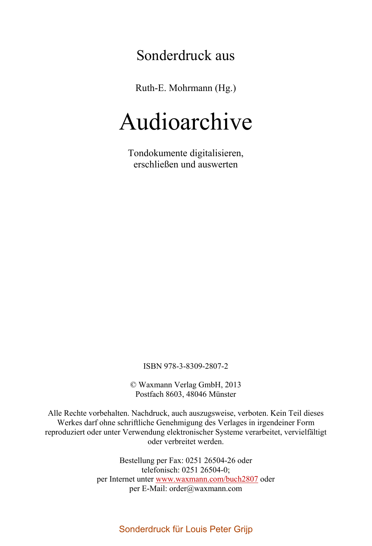## Sonderdruck aus

Ruth-E. Mohrmann (Hg.)

# Audioarchive

Tondokumente digitalisieren, erschließen und auswerten

ISBN 978-3-8309-2807-2

© Waxmann Verlag GmbH, 2013 Postfach 8603, 48046 Münster

Alle Rechte vorbehalten. Nachdruck, auch auszugsweise, verboten. Kein Teil dieses Werkes darf ohne schriftliche Genehmigung des Verlages in irgendeiner Form reproduziert oder unter Verwendung elektronischer Systeme verarbeitet, vervielfältigt oder verbreitet werden.

> Bestellung per Fax: 0251 26504-26 oder telefonisch: 0251 26504-0; per Internet unter www.waxmann.com/buch2807 oder per E-Mail: order@waxmann.com

#### Sonderdruck für Louis Peter Grijp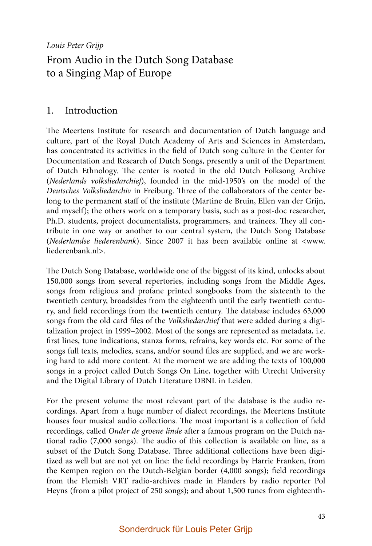Louis Peter Grijp

### From Audio in the Dutch Song Database to a Singing Map of Europe

#### 1. Introduction

The Meertens Institute for research and documentation of Dutch language and culture, part of the Royal Dutch Academy of Arts and Sciences in Amsterdam, has concentrated its activities in the field of Dutch song culture in the Center for Documentation and Research of Dutch Songs, presently a unit of the Department of Dutch Ethnology. The center is rooted in the old Dutch Folksong Archive (Nederlands volksliedarchief), founded in the mid-1950's on the model of the Deutsches Volksliedarchiv in Freiburg. Three of the collaborators of the center belong to the permanent staff of the institute (Martine de Bruin, Ellen van der Grijn, and myself); the others work on a temporary basis, such as a post-doc researcher, Ph.D. students, project documentalists, programmers, and trainees. They all contribute in one way or another to our central system, the Dutch Song Database (Nederlandse liederenbank). Since 2007 it has been available online at <www. liederenbank.nl>.

The Dutch Song Database, worldwide one of the biggest of its kind, unlocks about 150,000 songs from several repertories, including songs from the Middle Ages, songs from religious and profane printed songbooks from the sixteenth to the twentieth century, broadsides from the eighteenth until the early twentieth century, and field recordings from the twentieth century. The database includes 63,000 songs from the old card files of the *Volksliedarchief* that were added during a digitalization project in 1999–2002. Most of the songs are represented as metadata, i.e. first lines, tune indications, stanza forms, refrains, key words etc. For some of the songs full texts, melodies, scans, and/or sound files are supplied, and we are working hard to add more content. At the moment we are adding the texts of 100,000 songs in a project called Dutch Songs On Line, together with Utrecht University and the Digital Library of Dutch Literature DBNL in Leiden.

For the present volume the most relevant part of the database is the audio recordings. Apart from a huge number of dialect recordings, the Meertens Institute houses four musical audio collections. The most important is a collection of field recordings, called Onder de groene linde after a famous program on the Dutch national radio  $(7,000 \text{ songs})$ . The audio of this collection is available on line, as a subset of the Dutch Song Database. Three additional collections have been digitized as well but are not yet on line: the field recordings by Harrie Franken, from the Kempen region on the Dutch-Belgian border (4,000 songs); field recordings from the Flemish VRT radio-archives made in Flanders by radio reporter Pol Heyns (from a pilot project of 250 songs); and about 1,500 tunes from eighteenth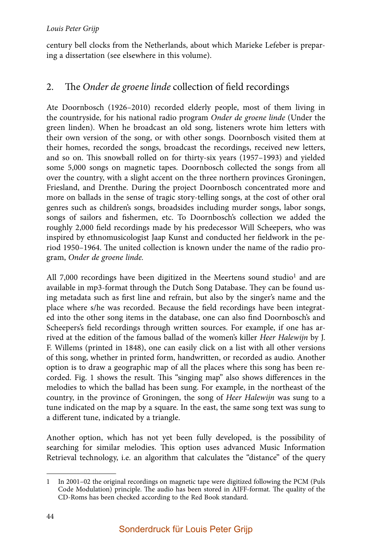century bell clocks from the Netherlands, about which Marieke Lefeber is preparing a dissertation (see elsewhere in this volume).

#### 2. The Onder de groene linde collection of field recordings

Ate Doornbosch (1926–2010) recorded elderly people, most of them living in the countryside, for his national radio program Onder de groene linde (Under the green linden). When he broadcast an old song, listeners wrote him letters with their own version of the song, or with other songs. Doornbosch visited them at their homes, recorded the songs, broadcast the recordings, received new letters, and so on. This snowball rolled on for thirty-six years (1957–1993) and yielded some 5,000 songs on magnetic tapes. Doornbosch collected the songs from all over the country, with a slight accent on the three northern provinces Groningen, Friesland, and Drenthe. During the project Doornbosch concentrated more and more on ballads in the sense of tragic story-telling songs, at the cost of other oral genres such as children's songs, broadsides including murder songs, labor songs, songs of sailors and fishermen, etc. To Doornbosch's collection we added the roughly 2,000 field recordings made by his predecessor Will Scheepers, who was inspired by ethnomusicologist Jaap Kunst and conducted her fieldwork in the period 1950–1964. The united collection is known under the name of the radio program, Onder de groene linde.

All 7,000 recordings have been digitized in the Meertens sound studio<sup>1</sup> and are available in mp3-format through the Dutch Song Database. They can be found using metadata such as first line and refrain, but also by the singer's name and the place where s/he was recorded. Because the field recordings have been integrated into the other song items in the database, one can also find Doornbosch's and Scheepers's field recordings through written sources. For example, if one has arrived at the edition of the famous ballad of the women's killer Heer Halewijn by J. F. Willems (printed in 1848), one can easily click on a list with all other versions of this song, whether in printed form, handwritten, or recorded as audio. Another option is to draw a geographic map of all the places where this song has been recorded. Fig. 1 shows the result. This "singing map" also shows differences in the melodies to which the ballad has been sung. For example, in the northeast of the country, in the province of Groningen, the song of Heer Halewijn was sung to a tune indicated on the map by a square. In the east, the same song text was sung to a different tune, indicated by a triangle.

Another option, which has not yet been fully developed, is the possibility of searching for similar melodies. This option uses advanced Music Information Retrieval technology, i.e. an algorithm that calculates the "distance" of the query

<sup>1</sup> In 2001–02 the original recordings on magnetic tape were digitized following the PCM (Puls Code Modulation) principle. The audio has been stored in AIFF-format. The quality of the CD-Roms has been checked according to the Red Book standard.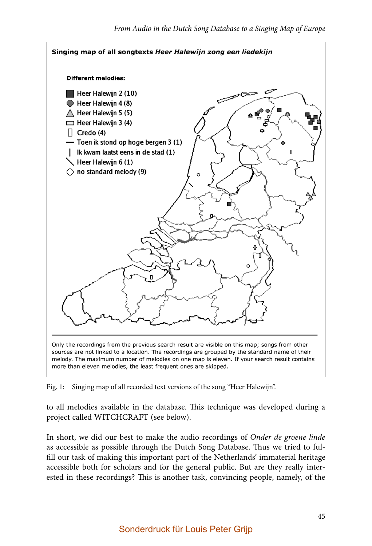

Fig. 1: Singing map of all recorded text versions of the song "Heer Halewijn".

to all melodies available in the database. This technique was developed during a project called WITCHCRAFT (see below).

In short, we did our best to make the audio recordings of Onder de groene linde as accessible as possible through the Dutch Song Database. Thus we tried to fulfill our task of making this important part of the Netherlands' immaterial heritage accessible both for scholars and for the general public. But are they really interested in these recordings? This is another task, convincing people, namely, of the

#### Sonderdruck für Louis Peter Grijp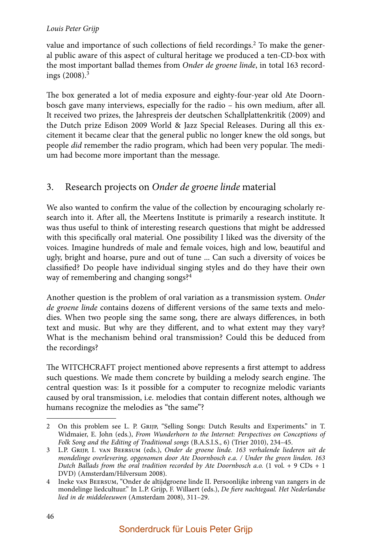#### Louis Peter Grijp

value and importance of such collections of field recordings.<sup>2</sup> To make the general public aware of this aspect of cultural heritage we produced a ten-CD-box with the most important ballad themes from Onder de groene linde, in total 163 recordings  $(2008)^3$ 

The box generated a lot of media exposure and eighty-four-year old Ate Doornbosch gave many interviews, especially for the radio – his own medium, after all. It received two prizes, the Jahrespreis der deutschen Schallplattenkritik (2009) and the Dutch prize Edison 2009 World & Jazz Special Releases. During all this excitement it became clear that the general public no longer knew the old songs, but people *did* remember the radio program, which had been very popular. The medium had become more important than the message.

#### 3. Research projects on Onder de groene linde material

We also wanted to confirm the value of the collection by encouraging scholarly research into it. After all, the Meertens Institute is primarily a research institute. It was thus useful to think of interesting research questions that might be addressed with this specifically oral material. One possibility I liked was the diversity of the voices. Imagine hundreds of male and female voices, high and low, beautiful and ugly, bright and hoarse, pure and out of tune ... Can such a diversity of voices be classified? Do people have individual singing styles and do they have their own way of remembering and changing songs?<sup>4</sup>

Another question is the problem of oral variation as a transmission system. Onder de groene linde contains dozens of different versions of the same texts and melodies. When two people sing the same song, there are always differences, in both text and music. But why are they different, and to what extent may they vary? What is the mechanism behind oral transmission? Could this be deduced from the recordings?

The WITCHCRAFT project mentioned above represents a first attempt to address such questions. We made them concrete by building a melody search engine. The central question was: Is it possible for a computer to recognize melodic variants caused by oral transmission, i.e. melodies that contain different notes, although we humans recognize the melodies as "the same"?

<sup>2</sup> On this problem see L. P. Grijp, "Selling Songs: Dutch Results and Experiments." in T. Widmaier, E. John (eds.), From Wunderhorn to the Internet: Perspectives on Conceptions of Folk Song and the Editing of Traditional songs (B.A.S.I.S., 6) (Trier 2010), 234–45.

<sup>3</sup> L.P. Grijp, I. van Beersum (eds.), Onder de groene linde. 163 verhalende liederen uit de mondelinge overlevering, opgenomen door Ate Doornbosch e.a. / Under the green linden. 163 Dutch Ballads from the oral tradition recorded by Ate Doornbosch a.o.  $(1 \text{ vol.} + 9 \text{ CDs} + 1$ DVD) (Amsterdam/Hilversum 2008).

<sup>4</sup> Ineke van Beersum, "Onder de altijdgroene linde II. Persoonlijke inbreng van zangers in de mondelinge liedcultuur." In L.P. Grijp, F. Willaert (eds.), De fiere nachtegaal. Het Nederlandse lied in de middeleeuwen (Amsterdam 2008), 311–29.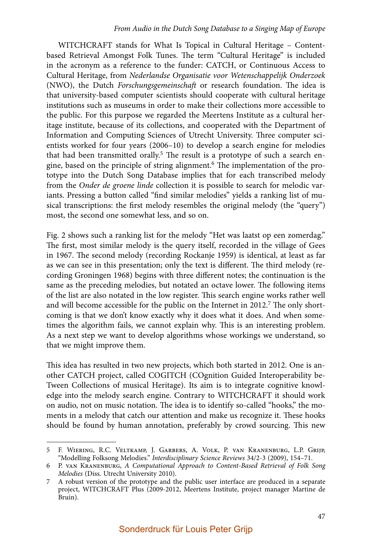WITCHCRAFT stands for What Is Topical in Cultural Heritage – Contentbased Retrieval Amongst Folk Tunes. The term "Cultural Heritage" is included in the acronym as a reference to the funder: CATCH, or Continuous Access to Cultural Heritage, from Nederlandse Organisatie voor Wetenschappelijk Onderzoek (NWO), the Dutch Forschungsgemeinschaft or research foundation. The idea is that university-based computer scientists should cooperate with cultural heritage institutions such as museums in order to make their collections more accessible to the public. For this purpose we regarded the Meertens Institute as a cultural heritage institute, because of its collections, and cooperated with the Department of Information and Computing Sciences of Utrecht University. Three computer scientists worked for four years (2006–10) to develop a search engine for melodies that had been transmitted orally.<sup>5</sup> The result is a prototype of such a search engine, based on the principle of string alignment.<sup>6</sup> The implementation of the prototype into the Dutch Song Database implies that for each transcribed melody from the Onder de groene linde collection it is possible to search for melodic variants. Pressing a button called "find similar melodies" yields a ranking list of musical transcriptions: the first melody resembles the original melody (the "query") most, the second one somewhat less, and so on.

Fig. 2 shows such a ranking list for the melody "Het was laatst op een zomerdag." The first, most similar melody is the query itself, recorded in the village of Gees in 1967. The second melody (recording Rockanje 1959) is identical, at least as far as we can see in this presentation; only the text is different. The third melody (recording Groningen 1968) begins with three different notes; the continuation is the same as the preceding melodies, but notated an octave lower. The following items of the list are also notated in the low register. This search engine works rather well and will become accessible for the public on the Internet in 2012.<sup>7</sup> The only shortcoming is that we don't know exactly why it does what it does. And when sometimes the algorithm fails, we cannot explain why. This is an interesting problem. As a next step we want to develop algorithms whose workings we understand, so that we might improve them.

This idea has resulted in two new projects, which both started in 2012. One is another CATCH project, called COGITCH (COgnition Guided Interoperability be-Tween Collections of musical Heritage). Its aim is to integrate cognitive knowledge into the melody search engine. Contrary to WITCHCRAFT it should work on audio, not on music notation. The idea is to identify so-called "hooks," the moments in a melody that catch our attention and make us recognize it. These hooks should be found by human annotation, preferably by crowd sourcing. This new

<sup>5</sup> F. Wiering, R.C. Veltkamp, J. Garbers, A. Volk, P. van Kranenburg, L.P. Grijp, "Modelling Folksong Melodies." Interdisciplinary Science Reviews 34/2-3 (2009), 154–71.

<sup>6</sup> P. van Kranenburg, A Computational Approach to Content-Based Retrieval of Folk Song Melodies (Diss. Utrecht University 2010).

<sup>7</sup> A robust version of the prototype and the public user interface are produced in a separate project, WITCHCRAFT Plus (2009-2012, Meertens Institute, project manager Martine de Bruin).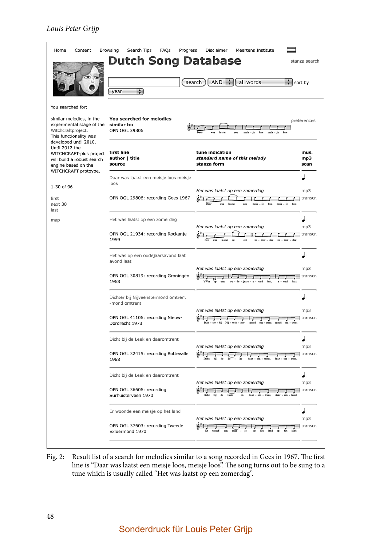

Fig. 2: Result list of a search for melodies similar to a song recorded in Gees in 1967. The first line is "Daar was laatst een meisje loos, meisje loos". The song turns out to be sung to a tune which is usually called "Het was laatst op een zomerdag".

#### Sonderdruck für Louis Peter Grijp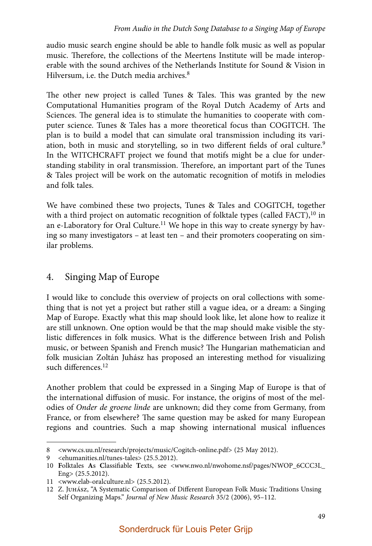audio music search engine should be able to handle folk music as well as popular music. Therefore, the collections of the Meertens Institute will be made interoperable with the sound archives of the Netherlands Institute for Sound & Vision in Hilversum, i.e. the Dutch media archives.<sup>8</sup>

The other new project is called Tunes  $\&$  Tales. This was granted by the new Computational Humanities program of the Royal Dutch Academy of Arts and Sciences. The general idea is to stimulate the humanities to cooperate with computer science. Tunes & Tales has a more theoretical focus than COGITCH. The plan is to build a model that can simulate oral transmission including its variation, both in music and storytelling, so in two different fields of oral culture.<sup>9</sup> In the WITCHCRAFT project we found that motifs might be a clue for understanding stability in oral transmission. Therefore, an important part of the Tunes & Tales project will be work on the automatic recognition of motifs in melodies and folk tales.

We have combined these two projects, Tunes & Tales and COGITCH, together with a third project on automatic recognition of folktale types (called FACT),<sup>10</sup> in an e-Laboratory for Oral Culture.<sup>11</sup> We hope in this way to create synergy by having so many investigators – at least ten – and their promoters cooperating on similar problems.

#### 4. Singing Map of Europe

I would like to conclude this overview of projects on oral collections with something that is not yet a project but rather still a vague idea, or a dream: a Singing Map of Europe. Exactly what this map should look like, let alone how to realize it are still unknown. One option would be that the map should make visible the stylistic differences in folk musics. What is the difference between Irish and Polish music, or between Spanish and French music? The Hungarian mathematician and folk musician Zoltán Juhász has proposed an interesting method for visualizing such differences.<sup>12</sup>

Another problem that could be expressed in a Singing Map of Europe is that of the international diffusion of music. For instance, the origins of most of the melodies of Onder de groene linde are unknown; did they come from Germany, from France, or from elsewhere? The same question may be asked for many European regions and countries. Such a map showing international musical influences

<sup>8 &</sup>lt;www.cs.uu.nl/research/projects/music/Cogitch-online.pdf> (25 May 2012).

<sup>9 &</sup>lt;ehumanities.nl/tunes-tales> (25.5.2012).

<sup>10</sup> Folktales As Classifiable Texts, see <www.nwo.nl/nwohome.nsf/pages/NWOP\_6CCC3L\_ Eng> (25.5.2012).

<sup>11 &</sup>lt;www.elab-oralculture.nl> (25.5.2012).

<sup>12</sup> Z. JUHÁSZ, "A Systematic Comparison of Different European Folk Music Traditions Unsing Self Organizing Maps." Journal of New Music Research 35/2 (2006), 95–112.